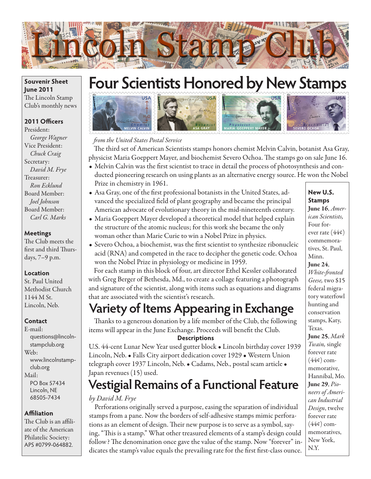

# **Four Scientists Honored by New Stamps**



*from the United States Postal Service*

The third set of American Scientists stamps honors chemist Melvin Calvin, botanist Asa Gray, physicist Maria Goeppert Mayer, and biochemist Severo Ochoa. The stamps go on sale June 16.

- Melvin Calvin was the first scientist to trace in detail the process of photosynthesis and con-
- ducted pioneering research on using plants as an alternative energy source. He won the Nobel Prize in chemistry in 1961.
- Asa Gray, one of the first professional botanists in the United States, advanced the specialized field of plant geography and became the principal American advocate of evolutionary theory in the mid-nineteenth century.
- Maria Goeppert Mayer developed a theoretical model that helped explain the structure of the atomic nucleus; for this work she became the only woman other than Marie Curie to win a Nobel Prize in physics.
- Severo Ochoa, a biochemist, was the first scientist to synthesize ribonucleic acid (RNA) and competed in the race to decipher the genetic code. Ochoa won the Nobel Prize in physiology or medicine in 1959.

For each stamp in this block of four, art director Ethel Kessler collaborated with Greg Berger of Bethesda, Md., to create a collage featuring a photograph and signature of the scientist, along with items such as equations and diagrams that are associated with the scientist's research.

### **Variety of Items Appearing in Exchange**

Thanks to a generous donation by a life member of the Club, the following items will appear in the June Exchange. Proceeds will benefit the Club.

#### **Descriptions**

U.S. 44-cent Lunar New Year used gutter block • Lincoln birthday cover 1939 Lincoln, Neb. • Falls City airport dedication cover 1929 • Western Union telegraph cover 1937 Lincoln, Neb. • Cadams, Neb., postal scam article • Japan revenues (15) used.

### **Vestigial Remains of a Functional Feature**

#### *by David M. Frye*

Perforations originally served a purpose, easing the separation of individual stamps from a pane. Now the borders of self-adhesive stamps mimic perforations as an element of design. Their new purpose is to serve as a symbol, saying, "This is a stamp." What other treasured elements of a stamp's design could follow? The denomination once gave the value of the stamp. Now "forever" indicates the stamp's value equals the prevailing rate for the first first-class ounce.

#### **New U.S. Stamps**

June 16, *American Scientists,*  Four forever rate (44¢) commemoratives, St. Paul, Minn.

#### June 24,

*White-fronted Geese,* two \$15 federal migratory waterfowl hunting and conservation stamps, Katy, Texas. June 25, *Mark Twain,* single forever rate  $(44¢)$  commemorative, Hannibal, Mo. June 29, *Pioneers of American Industrial Design*, twelve forever rate  $(44¢)$  commemoratives, New York, N.Y.

#### **Souvenir Sheet June 2011** The Lincoln Stamp Club's monthly news

#### **2011 Officers**

President: *George Wagner* Vice President: *Chuck Craig* Secretary: *David M. Frye* Treasurer: *Ron Ecklund* Board Member: *Joel Johnson* Board Member: *Carl G. Marks*

#### **Meetings**

The Club meets the first and third Thursdays, 7–9 p.m.

#### **Location**

St. Paul United Methodist Church 1144 M St. Lincoln, Neb.

#### **Contact**

E-mail: questions@lincolnstampclub.org Web: www.lincolnstampclub.org Mail: PO Box 57434 Lincoln, NE 68505-7434

#### **Affiliation**

The Club is an affiliate of the American Philatelic Society: APS #0799-064882.